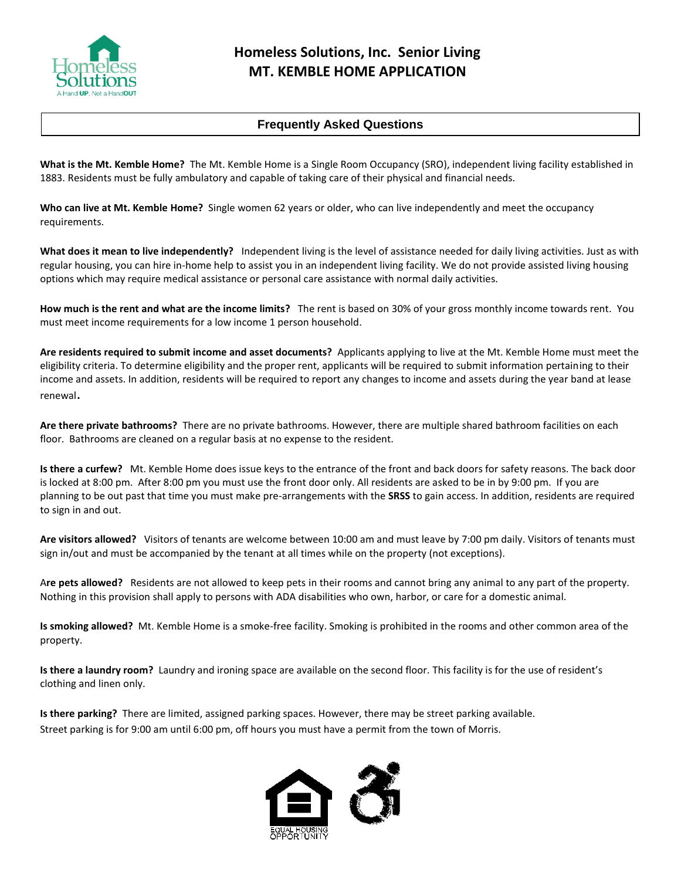

## **Frequently Asked Questions**

**What is the Mt. Kemble Home?** The Mt. Kemble Home is a Single Room Occupancy (SRO), independent living facility established in 1883. Residents must be fully ambulatory and capable of taking care of their physical and financial needs.

**Who can live at Mt. Kemble Home?** Single women 62 years or older, who can live independently and meet the occupancy requirements.

**What does it mean to live independently?** Independent living is the level of assistance needed for daily living activities. Just as with regular housing, you can hire in-home help to assist you in an independent living facility. We do not provide assisted living housing options which may require medical assistance or personal care assistance with normal daily activities.

**How much is the rent and what are the income limits?** The rent is based on 30% of your gross monthly income towards rent. You must meet income requirements for a low income 1 person household.

**Are residents required to submit income and asset documents?** Applicants applying to live at the Mt. Kemble Home must meet the eligibility criteria. To determine eligibility and the proper rent, applicants will be required to submit information pertaining to their income and assets. In addition, residents will be required to report any changes to income and assets during the year band at lease renewal.

**Are there private bathrooms?** There are no private bathrooms. However, there are multiple shared bathroom facilities on each floor. Bathrooms are cleaned on a regular basis at no expense to the resident.

**Is there a curfew?** Mt. Kemble Home does issue keys to the entrance of the front and back doors for safety reasons. The back door is locked at 8:00 pm. After 8:00 pm you must use the front door only. All residents are asked to be in by 9:00 pm. If you are planning to be out past that time you must make pre-arrangements with the **SRSS** to gain access. In addition, residents are required to sign in and out.

**Are visitors allowed?** Visitors of tenants are welcome between 10:00 am and must leave by 7:00 pm daily. Visitors of tenants must sign in/out and must be accompanied by the tenant at all times while on the property (not exceptions).

A**re pets allowed?** Residents are not allowed to keep pets in their rooms and cannot bring any animal to any part of the property. Nothing in this provision shall apply to persons with ADA disabilities who own, harbor, or care for a domestic animal.

**Is smoking allowed?** Mt. Kemble Home is a smoke-free facility. Smoking is prohibited in the rooms and other common area of the property.

**Is there a laundry room?** Laundry and ironing space are available on the second floor. This facility is for the use of resident's clothing and linen only.

**Is there parking?** There are limited, assigned parking spaces. However, there may be street parking available. Street parking is for 9:00 am until 6:00 pm, off hours you must have a permit from the town of Morris.

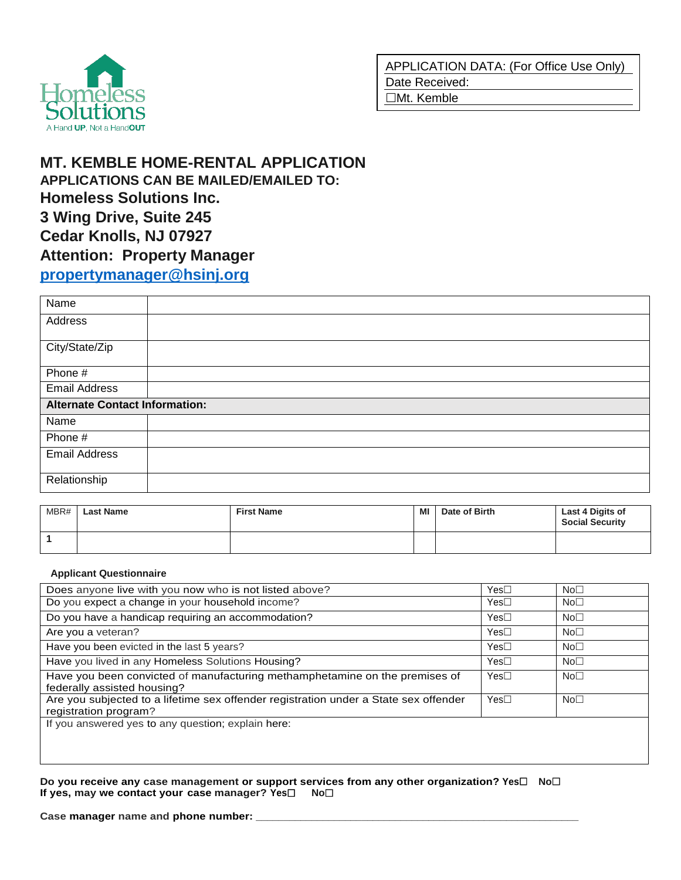

# **MT. KEMBLE HOME-RENTAL APPLICATION APPLICATIONS CAN BE MAILED/EMAILED TO: Homeless Solutions Inc. 3 Wing Drive, Suite 245 Cedar Knolls, NJ 07927 Attention: Property Manager [propertymanager@hsinj.org](mailto:propertymanager@hsinj.org)**

| Name                                  |  |
|---------------------------------------|--|
| Address                               |  |
| City/State/Zip                        |  |
| Phone #                               |  |
| <b>Email Address</b>                  |  |
| <b>Alternate Contact Information:</b> |  |
| Name                                  |  |
| Phone #                               |  |
| <b>Email Address</b>                  |  |
| Relationship                          |  |

| MBR# | <b>Last Name</b> | <b>First Name</b> | MI | Date of Birth | Last 4 Digits of<br><b>Social Security</b> |
|------|------------------|-------------------|----|---------------|--------------------------------------------|
|      |                  |                   |    |               |                                            |

### **Applicant Questionnaire**

| Does anyone live with you now who is not listed above?                                                        | Yes⊟             | No <sub>1</sub> |
|---------------------------------------------------------------------------------------------------------------|------------------|-----------------|
| Do you expect a change in your household income?                                                              | Yes              | No <sub>1</sub> |
| Do you have a handicap requiring an accommodation?                                                            | $Yes\square$     | No <sub>1</sub> |
| Are you a veteran?                                                                                            | $Yes\square$     | No <sub>1</sub> |
| Have you been evicted in the last 5 years?                                                                    | $Yes\square$     | No <sub>1</sub> |
| Have you lived in any Homeless Solutions Housing?                                                             | Yes <sub>1</sub> | No <sub>1</sub> |
| Have you been convicted of manufacturing methamphetamine on the premises of<br>federally assisted housing?    | $Yes\square$     | No <sub>1</sub> |
| Are you subjected to a lifetime sex offender registration under a State sex offender<br>registration program? | $Yes\square$     | No <sub>1</sub> |
| If you answered yes to any question; explain here:                                                            |                  |                 |

**Do you receive any case management or support services from any other organization? Yes□ No□ If yes, may we contact your case manager? Yes No**

Case manager name and phone number: \_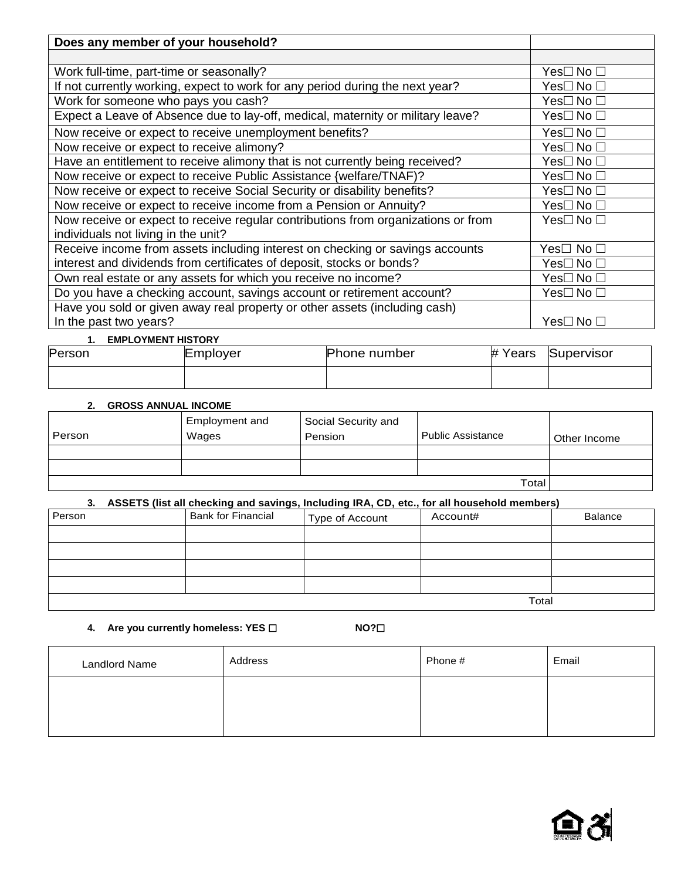| Does any member of your household?                                                |           |
|-----------------------------------------------------------------------------------|-----------|
|                                                                                   |           |
| Work full-time, part-time or seasonally?                                          | Yes□ No □ |
| If not currently working, expect to work for any period during the next year?     | Yes⊟ No □ |
| Work for someone who pays you cash?                                               | Yes□No□   |
| Expect a Leave of Absence due to lay-off, medical, maternity or military leave?   | Yes⊟ No □ |
| Now receive or expect to receive unemployment benefits?                           | Yes□No□   |
| Now receive or expect to receive alimony?                                         | Yes⊟ No □ |
| Have an entitlement to receive alimony that is not currently being received?      | Yes⊟ No □ |
| Now receive or expect to receive Public Assistance {welfare/TNAF)?                | Yes□No□   |
| Now receive or expect to receive Social Security or disability benefits?          | Yes□ No □ |
| Now receive or expect to receive income from a Pension or Annuity?                | Yes⊟ No □ |
| Now receive or expect to receive regular contributions from organizations or from | Yes□ No □ |
| individuals not living in the unit?                                               |           |
| Receive income from assets including interest on checking or savings accounts     | Yes⊟ No □ |
| interest and dividends from certificates of deposit, stocks or bonds?             | Yes⊟ No □ |
| Own real estate or any assets for which you receive no income?                    | Yes⊟ No □ |
| Do you have a checking account, savings account or retirement account?            | Yes□No□   |
| Have you sold or given away real property or other assets (including cash)        |           |
| In the past two years?                                                            | Yes□ No □ |

### **1. EMPLOYMENT HISTORY**

| .      | ____________________________ |                     |         |            |  |
|--------|------------------------------|---------------------|---------|------------|--|
| Person | Employer                     | <b>Phone number</b> | # Years | Supervisor |  |
|        |                              |                     |         |            |  |

## **2. GROSS ANNUAL INCOME**

|        | Employment and | Social Security and |                          |              |
|--------|----------------|---------------------|--------------------------|--------------|
| Person | Wages          | Pension             | <b>Public Assistance</b> | Other Income |
|        |                |                     |                          |              |
|        |                |                     |                          |              |
|        |                |                     | Total                    |              |

### **3. ASSETS (list all checking and savings, Including IRA, CD, etc., for all household members)**

| Person | <b>Bank for Financial</b> | Type of Account | Account# | <b>Balance</b> |
|--------|---------------------------|-----------------|----------|----------------|
|        |                           |                 |          |                |
|        |                           |                 |          |                |
|        |                           |                 |          |                |
|        |                           |                 |          |                |
| Total  |                           |                 |          |                |

**4. Are you currently homeless: YES NO?**

| <b>Landlord Name</b> | Address | Phone # | Email |
|----------------------|---------|---------|-------|
|                      |         |         |       |
|                      |         |         |       |

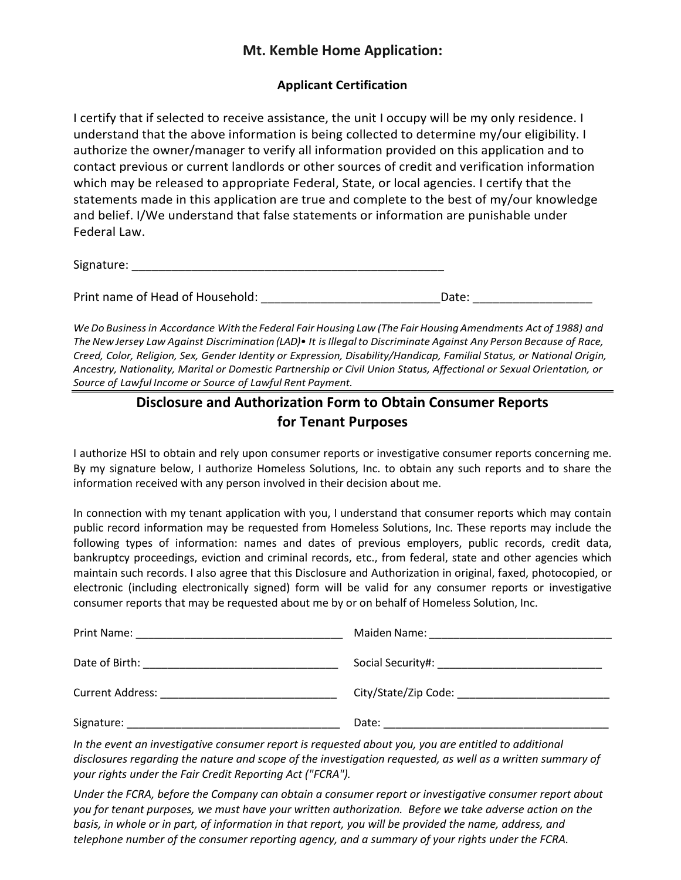## **Mt. Kemble Home Application:**

## **Applicant Certification**

I certify that if selected to receive assistance, the unit I occupy will be my only residence. I understand that the above information is being collected to determine my/our eligibility. I authorize the owner/manager to verify all information provided on this application and to contact previous or current landlords or other sources of credit and verification information which may be released to appropriate Federal, State, or local agencies. I certify that the statements made in this application are true and complete to the best of my/our knowledge and belief. I/We understand that false statements or information are punishable under Federal Law.

| Signature: |  |  |  |
|------------|--|--|--|
|            |  |  |  |

Print name of Head of Household: example a set of the Date:  $\Box$ 

We Do Business in Accordance With the Federal Fair Housing Law (The Fair Housing Amendments Act of 1988) and *The NewJersey Law Against Discrimination (LAD)• It isIllegalto Discriminate Against Any Person Because of Race, Creed, Color, Religion, Sex, Gender Identity or Expression, Disability/Handicap, Familial Status, or National Origin, Ancestry, Nationality, Marital or Domestic Partnership or Civil Union Status, Affectional or Sexual Orientation, or Source of Lawful Income or Source of Lawful Rent Payment.*

## **Disclosure and Authorization Form to Obtain Consumer Reports for Tenant Purposes**

I authorize HSI to obtain and rely upon consumer reports or investigative consumer reports concerning me. By my signature below, I authorize Homeless Solutions, Inc. to obtain any such reports and to share the information received with any person involved in their decision about me.

In connection with my tenant application with you, I understand that consumer reports which may contain public record information may be requested from Homeless Solutions, Inc. These reports may include the following types of information: names and dates of previous employers, public records, credit data, bankruptcy proceedings, eviction and criminal records, etc., from federal, state and other agencies which maintain such records. I also agree that this Disclosure and Authorization in original, faxed, photocopied, or electronic (including electronically signed) form will be valid for any consumer reports or investigative consumer reports that may be requested about me by or on behalf of Homeless Solution, Inc.

| Date of Birth:<br><u> 1989 - Johann John Stein, markin fan it ferskearre fan it ferskearre fan it ferskearre fan it ferskearre fan </u> |       |
|-----------------------------------------------------------------------------------------------------------------------------------------|-------|
| <b>Current Address:</b>                                                                                                                 |       |
| Signature:                                                                                                                              | Date: |

*In the event an investigative consumer report is requested about you, you are entitled to additional disclosures regarding the nature and scope of the investigation requested, as well as a written summary of your rights under the Fair Credit Reporting Act ("FCRA").*

*Under the FCRA, before the Company can obtain a consumer report or investigative consumer report about you for tenant purposes, we must have your written authorization. Before we take adverse action on the basis, in whole or in part, of information in that report, you will be provided the name, address, and telephone number of the consumer reporting agency, and a summary of your rights under the FCRA.*